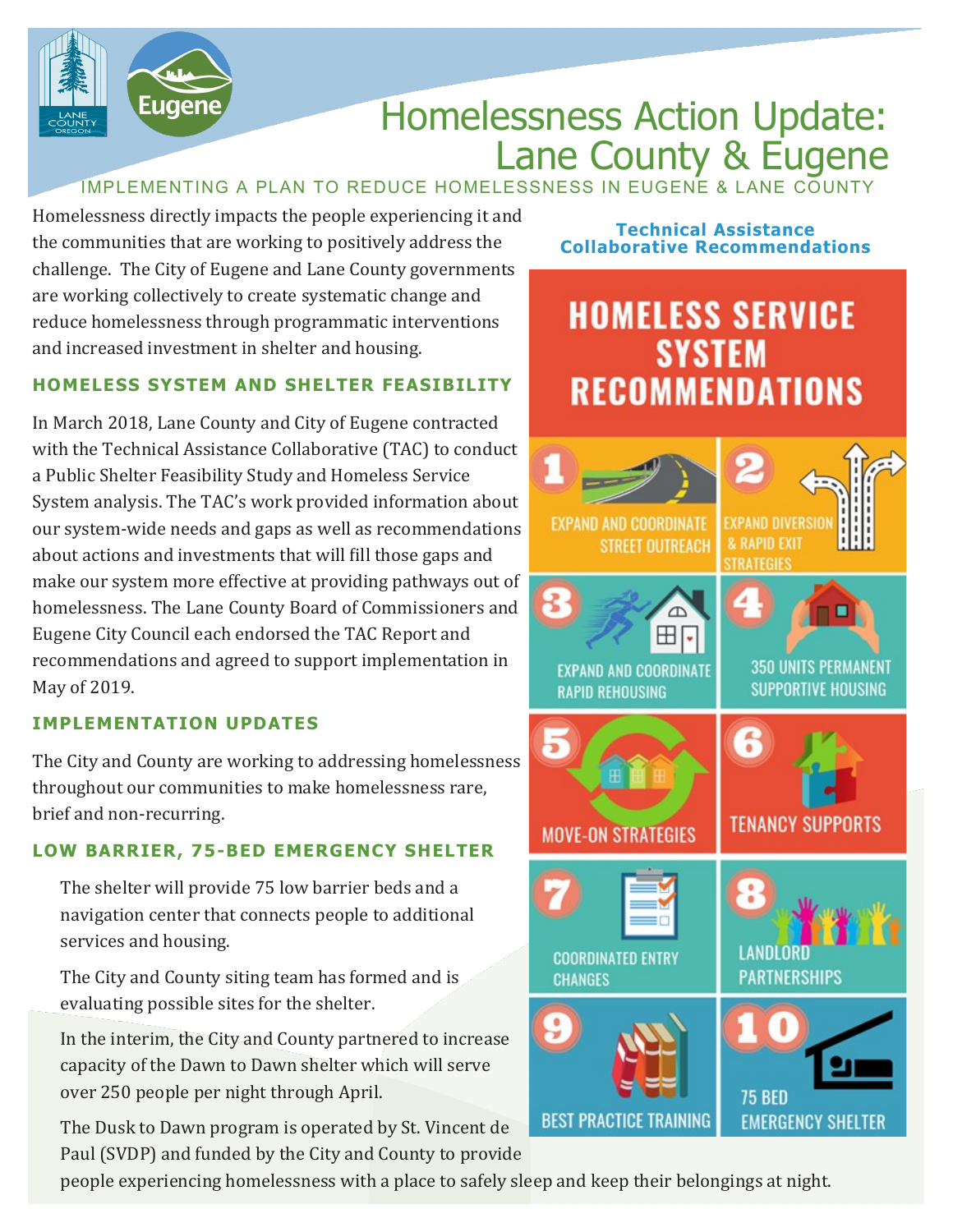

## Homelessness Action Update: Lane County & Eugene

IMPLEMENTING A PLAN TO REDUCE HOMELESSNESS IN EUGENE & LANE COUNT

Homelessness directly impacts the people experiencing it and the communities that are working to positively address the challenge. The City of Eugene and Lane County governments are working collectively to create systematic change and reduce homelessness through programmatic interventions and increased investment in shelter and housing.

#### **HOMELESS SYSTEM AND SHELTER FEASIBILITY**

In March 2018, Lane County and City of Eugene contracted with the Technical Assistance Collaborative (TAC) to conduct a Public Shelter Feasibility Study and Homeless Service System analysis. The TAC's work provided information about our system-wide needs and gaps as well as recommendations about actions and investments that will fill those gaps and make our system more effective at providing pathways out of homelessness. The Lane County Board of Commissioners and Eugene City Council each endorsed the TAC Report and recommendations and agreed to support implementation in May of 2019.

#### **IMPLEMENTATION UPDATES**

The City and County are working to addressing homelessness throughout our communities to make homelessness rare, brief and non-recurring.

### **LOW BARRIER, 75-BED EMERGENCY SHELTER**

The shelter will provide 75 low barrier beds and a navigation center that connects people to additional services and housing.

The City and County siting team has formed and is evaluating possible sites for the shelter.

In the interim, the City and County partnered to increase capacity of the Dawn to Dawn shelter which will serve over 250 people per night through April.

The Dusk to Dawn program is operated by St. Vincent de Paul (SVDP) and funded by the City and County to provide

people experiencing homelessness with a place to safely sleep and keep their belongings at night.

#### **Technical Assistance Collaborative Recommendations**

### **HOMELESS SERVICE SYSTEM RECOMMENDATIONS**